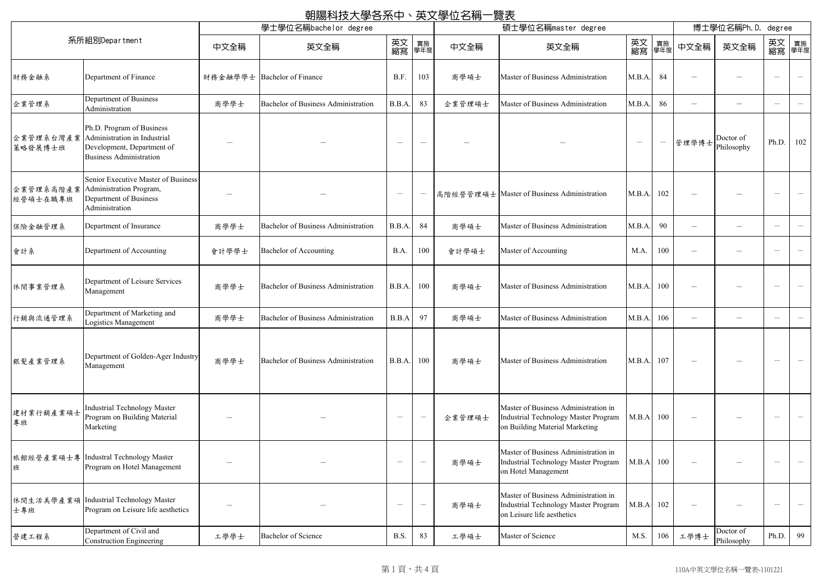|                       |                                                                                                                           |                                 | 朝陽科技大學各系中、英文學位名稱一覽表                        |                                 |                               |                     |                                                                                                                   |                                 |                  |                          |                                 |                                       |                          |
|-----------------------|---------------------------------------------------------------------------------------------------------------------------|---------------------------------|--------------------------------------------|---------------------------------|-------------------------------|---------------------|-------------------------------------------------------------------------------------------------------------------|---------------------------------|------------------|--------------------------|---------------------------------|---------------------------------------|--------------------------|
| 學士學位名稱bachelor degree |                                                                                                                           |                                 |                                            |                                 |                               | 碩士學位名稱master degree |                                                                                                                   |                                 |                  |                          | 博士學位名稱Ph.D.<br>degree           |                                       |                          |
| 系所組別Department        |                                                                                                                           | 中文全稱                            | 英文全稱                                       | 英文<br>縮寫                        | 實施<br>學年度                     | 中文全稱                | 英文全稱                                                                                                              | 英文<br>縮寫                        | 實施<br>學年度        | 中文全稱                     | 英文全稱                            | 英文 <sub>實施</sub><br>縮寫 <sup>學年度</sup> |                          |
| 財務金融系                 | Department of Finance                                                                                                     |                                 | 財務金融學學士 Bachelor of Finance                | B.F.                            | 103                           | 商學碩士                | Master of Business Administration                                                                                 | M.B.A.                          | 84               |                          |                                 |                                       |                          |
| 企業管理系                 | Department of Business<br>Administration                                                                                  | 商學學士                            | <b>Bachelor of Business Administration</b> | B.B.A.                          | 83                            | 企業管理碩士              | Master of Business Administration                                                                                 | M.B.A.                          | 86               |                          |                                 | $\hspace{0.1mm}-\hspace{0.1mm}$       |                          |
| 企業管理系台灣產業<br>策略發展博士班  | Ph.D. Program of Business<br>Administration in Industrial<br>Development, Department of<br><b>Business Administration</b> | $\hspace{0.1mm}-\hspace{0.1mm}$ |                                            |                                 | $\hspace{0.05cm}$             |                     |                                                                                                                   | $\hspace{0.1mm}-\hspace{0.1mm}$ | $\hspace{0.1mm}$ |                          | Doctor of<br> 管理學博士  Philosophy | Ph.D                                  | 102                      |
| 企業管理系高階產業<br>經營碩士在職專班 | Senior Executive Master of Business<br>Administration Program,<br>Department of Business<br>Administration                |                                 |                                            | $\overline{\phantom{0}}$        |                               |                     | 高階經營管理碩士 Master of Business Administration                                                                        | M.B.A. 102                      |                  |                          |                                 | $\hspace{0.1mm}-\hspace{0.1mm}$       |                          |
| 保險金融管理系               | Department of Insurance                                                                                                   | 商學學士                            | <b>Bachelor of Business Administration</b> | B.B.A.                          | 84                            | 商學碩士                | Master of Business Administration                                                                                 | M.B.A.                          | 90               |                          | $\overline{\phantom{0}}$        | $\overline{\phantom{0}}$              |                          |
| 會計系                   | Department of Accounting                                                                                                  | 會計學學士                           | Bachelor of Accounting                     | B.A.                            | 100                           | 會計學碩士               | Master of Accounting                                                                                              | M.A.                            | 100              |                          |                                 |                                       |                          |
| 休閒事業管理系               | Department of Leisure Services<br>Management                                                                              | 商學學士                            | <b>Bachelor of Business Administration</b> | B.B.A.                          | 100                           | 商學碩士                | Master of Business Administration                                                                                 | M.B.A.                          | 100              |                          |                                 | $\overbrace{\phantom{12332}}$         | $\overline{\phantom{m}}$ |
| 行銷與流通管理系              | Department of Marketing and<br>Logistics Management                                                                       | 商學學士                            | Bachelor of Business Administration        | B.B.A                           | 97                            | 商學碩士                | Master of Business Administration                                                                                 | M.B.A. 106                      |                  |                          |                                 |                                       |                          |
| 銀髮產業管理系               | Department of Golden-Ager Industry<br>Management                                                                          | 商學學士                            | <b>Bachelor of Business Administration</b> | B.B.A.                          | 100                           | 商學碩士                | Master of Business Administration                                                                                 | M.B.A.                          | 107              | $\overline{\phantom{0}}$ |                                 | $\hspace{0.1mm}-\hspace{0.1mm}$       |                          |
| 建材業行銷產業碩士<br>專班       | Industrial Technology Master<br>Program on Building Material<br>Marketing                                                 |                                 |                                            | $\hspace{0.1mm}-\hspace{0.1mm}$ | $\overline{\phantom{m}}$      | 企業管理碩士              | Master of Business Administration in<br>Industrial Technology Master Program<br>on Building Material Marketing    | M.B.A 100                       |                  |                          |                                 |                                       |                          |
| 班                     | 旅館經營產業碩士專   Industral Technology Master<br>Program on Hotel Management                                                    |                                 |                                            | $\hspace{0.1mm}-\hspace{0.1mm}$ | $\overbrace{\phantom{13333}}$ | 商學碩士                | Master of Business Administration in<br><b>Industrial Technology Master Program</b><br>on Hotel Management        | M.B.A 100                       |                  |                          |                                 |                                       |                          |
| 士專班                   | 休閒生活美學產業碩 Industrial Technology Master<br>Program on Leisure life aesthetics                                              |                                 |                                            |                                 | $\overline{\phantom{m}}$      | 商學碩士                | Master of Business Administration in<br><b>Industrial Technology Master Program</b><br>on Leisure life aesthetics | M.B.A 102                       |                  |                          |                                 |                                       |                          |
| 營建工程系                 | Department of Civil and<br>Construction Engineering                                                                       | 工學學士                            | <b>Bachelor of Science</b>                 | B.S.                            | 83                            | 工學碩士                | Master of Science                                                                                                 | M.S.                            | 106              | 工學博士                     | Doctor of<br>Philosophy         | Ph.D.                                 | 99                       |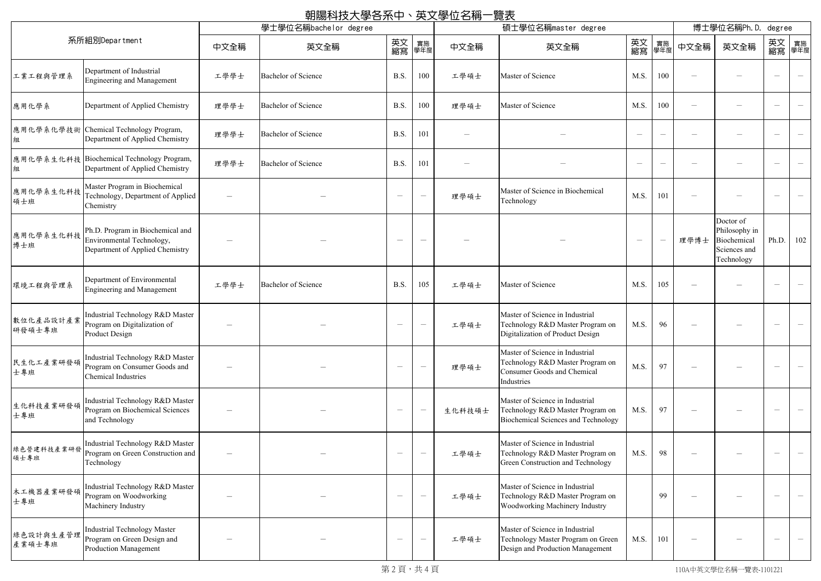|                     |                                                                                                  |                          | 朝陽科技大學各系中、英文學位名稱一覽表        |                                 |                                 |        |                                                                                                                         |                                 |                          |                                 |                                                                         |                                 |                                       |
|---------------------|--------------------------------------------------------------------------------------------------|--------------------------|----------------------------|---------------------------------|---------------------------------|--------|-------------------------------------------------------------------------------------------------------------------------|---------------------------------|--------------------------|---------------------------------|-------------------------------------------------------------------------|---------------------------------|---------------------------------------|
| 系所組別Department      |                                                                                                  | 學士學位名稱bachelor degree    |                            |                                 | 碩士學位名稱master degree             |        |                                                                                                                         |                                 | 博士學位名稱Ph.D.<br>degree    |                                 |                                                                         |                                 |                                       |
|                     |                                                                                                  | 中文全稱                     | 英文全稱                       | 英文<br>縮寫                        | 實施<br>學年度                       | 中文全稱   | 英文全稱                                                                                                                    | 英文<br>縮寫                        | 實施<br>學年度                | 中文全稱                            | 英文全稱                                                                    |                                 | 英文 <sub>實施</sub><br>縮寫 <sup>學年度</sup> |
| 工業工程與管理系            | Department of Industrial<br>Engineering and Management                                           | 工學學士                     | <b>Bachelor of Science</b> | B.S.                            | 100                             | 工學碩士   | Master of Science                                                                                                       | M.S.                            | 100                      | $\overline{\phantom{0}}$        |                                                                         | $\overline{\phantom{m}}$        |                                       |
| 應用化學系               | Department of Applied Chemistry                                                                  | 理學學士                     | <b>Bachelor of Science</b> | B.S.                            | 100                             | 理學碩士   | Master of Science                                                                                                       | M.S.                            | 100                      | $\overline{\phantom{0}}$        |                                                                         | $\overline{\phantom{a}}$        |                                       |
| 應用化學系化學技術<br>組      | Chemical Technology Program,<br>Department of Applied Chemistry                                  | 理學學士                     | <b>Bachelor of Science</b> | B.S.                            | 101                             |        |                                                                                                                         | $\overline{\phantom{a}}$        | $\overline{\phantom{a}}$ |                                 |                                                                         | $\hspace{0.1mm}-\hspace{0.1mm}$ |                                       |
| 組                   | 應用化學系生化科技 Biochemical Technology Program,<br>Department of Applied Chemistry                     | 理學學士                     | <b>Bachelor of Science</b> | B.S.                            | 101                             |        |                                                                                                                         | $\hspace{0.1mm}-\hspace{0.1mm}$ | $\overline{\phantom{m}}$ |                                 |                                                                         |                                 |                                       |
| 應用化學系生化科技<br>碩士班    | Master Program in Biochemical<br>Technology, Department of Applied<br>Chemistry                  | $\overline{\phantom{m}}$ |                            | $\overline{\phantom{m}}$        | $\overline{\phantom{m}}$        | 理學碩士   | Master of Science in Biochemical<br>Technology                                                                          | M.S.                            | 101                      | $\overline{\phantom{0}}$        |                                                                         | $\overline{\phantom{m}}$        |                                       |
| 應用化學系生化科技<br>博士班    | Ph.D. Program in Biochemical and<br>Environmental Technology,<br>Department of Applied Chemistry |                          |                            | $\hspace{0.05cm}$               | $\hspace{0.1mm}-\hspace{0.1mm}$ |        |                                                                                                                         | $\overline{\phantom{a}}$        | $\overline{\phantom{a}}$ | 理學博士                            | Doctor of<br>Philosophy in<br>Biochemical<br>Sciences and<br>Technology | Ph.D.                           | 102                                   |
| 環境工程與管理系            | Department of Environmental<br>Engineering and Management                                        | 工學學士                     | <b>Bachelor of Science</b> | B.S.                            | 105                             | 工學碩士   | Master of Science                                                                                                       | M.S.                            | 105                      | $\hspace{0.1mm}-\hspace{0.1mm}$ |                                                                         | $\overline{\phantom{m}}$        |                                       |
| 數位化產品設計產業<br>研發碩士專班 | Industrial Technology R&D Master<br>Program on Digitalization of<br>Product Design               |                          |                            | $\hspace{0.1mm}-\hspace{0.1mm}$ | $\hspace{0.1mm}-\hspace{0.1mm}$ | 工學碩士   | Master of Science in Industrial<br>Technology R&D Master Program on<br>Digitalization of Product Design                 | M.S.                            | 96                       |                                 |                                                                         |                                 |                                       |
| 民生化工產業研發碩<br>士專班    | Industrial Technology R&D Master<br>Program on Consumer Goods and<br><b>Chemical Industries</b>  |                          |                            |                                 | $\overline{\phantom{m}}$        | 理學碩士   | Master of Science in Industrial<br>Technology R&D Master Program on<br><b>Consumer Goods and Chemical</b><br>Industries | M.S.                            | 97                       |                                 |                                                                         |                                 |                                       |
| 生化科技產業研發碩<br>士專班    | Industrial Technology R&D Master<br>Program on Biochemical Sciences<br>and Technology            |                          |                            | $\overline{\phantom{0}}$        | $\hspace{0.1mm}-\hspace{0.1mm}$ | 生化科技碩士 | Master of Science in Industrial<br>Technology R&D Master Program on<br>Biochemical Sciences and Technology              | M.S.                            | 97                       |                                 |                                                                         |                                 |                                       |
| 綠色營建科技產業研發<br>碩士專班  | Industrial Technology R&D Master<br>Program on Green Construction and<br>Technology              |                          |                            | $\overline{\phantom{0}}$        | $\overline{\phantom{m}}$        | 工學碩士   | Master of Science in Industrial<br>Technology R&D Master Program on<br>Green Construction and Technology                | M.S.                            | 98                       |                                 |                                                                         | $\overline{\phantom{m}}$        |                                       |
| 木工機器產業研發碩<br>士專班    | Industrial Technology R&D Master<br>Program on Woodworking<br>Machinery Industry                 |                          |                            |                                 | $\hspace{0.1mm}-\hspace{0.1mm}$ | 工學碩士   | Master of Science in Industrial<br>Technology R&D Master Program on<br>Woodworking Machinery Industry                   |                                 | 99                       |                                 |                                                                         | $\overbrace{\phantom{12332}}$   |                                       |
| 綠色設計與生產管理<br>產業碩士專班 | <b>Industrial Technology Master</b><br>Program on Green Design and<br>Production Management      |                          |                            | $\overline{\phantom{0}}$        | $\hspace{0.1mm}-\hspace{0.1mm}$ | 工學碩士   | Master of Science in Industrial<br>Technology Master Program on Green<br>Design and Production Management               | M.S.                            | 101                      |                                 |                                                                         | $\hspace{0.1mm}-\hspace{0.1mm}$ |                                       |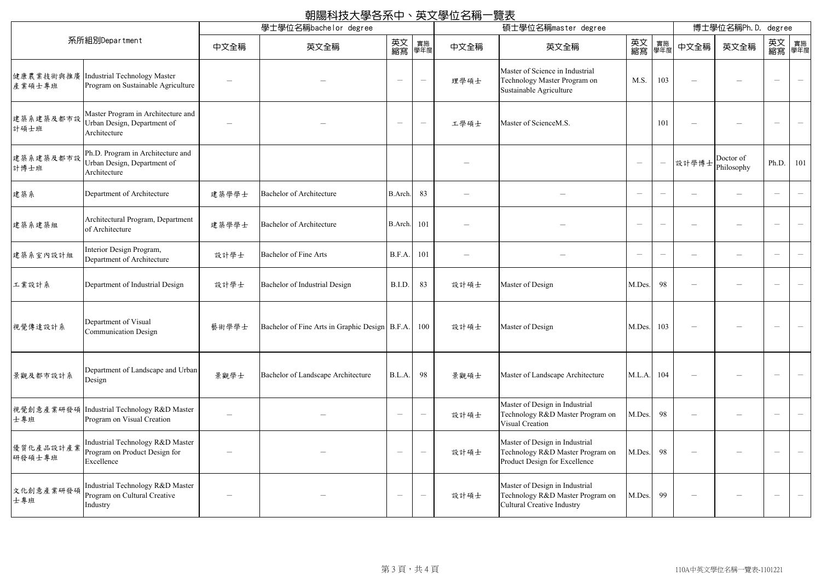| 朝陽科技大學各系中、英文學位名稱一覽表<br>學士學位名稱bachelor degree |                                                                                   |                                 |                                                  |                                 |                          |                          | 碩士學位名稱master degree                                                                                     |                                       |                                 |                          | 博士學位名稱Ph.D.<br>degree            |                                 |                                       |  |
|----------------------------------------------|-----------------------------------------------------------------------------------|---------------------------------|--------------------------------------------------|---------------------------------|--------------------------|--------------------------|---------------------------------------------------------------------------------------------------------|---------------------------------------|---------------------------------|--------------------------|----------------------------------|---------------------------------|---------------------------------------|--|
|                                              | 系所組別Department                                                                    | 中文全稱                            | 英文全稱                                             | 英文<br>縮寫                        | 實施<br>學年度                | 中文全稱                     | 英文全稱                                                                                                    | 英文 <sub>實施</sub><br>縮寫 <sup>學年度</sup> |                                 | 中文全稱                     | 英文全稱                             |                                 | 英文 <sub>實施</sub><br>縮寫 <sup>學年度</sup> |  |
| 健康農業技術與推廣<br>產業碩士專班                          | Industrial Technology Master<br>Program on Sustainable Agriculture                | $\hspace{0.1mm}-\hspace{0.1mm}$ |                                                  | $\overline{\phantom{m}}$        | $\overline{\phantom{m}}$ | 理學碩士                     | Master of Science in Industrial<br>Technology Master Program on<br>Sustainable Agriculture              | M.S.                                  | 103                             |                          |                                  | $\overline{\phantom{m}}$        | $\overline{\phantom{0}}$              |  |
| 建築系建築及都市設<br>計碩士班                            | Master Program in Architecture and<br>Urban Design, Department of<br>Architecture |                                 |                                                  | $\hspace{0.1mm}-\hspace{0.1mm}$ | $\overline{\phantom{m}}$ | 工學碩士                     | Master of ScienceM.S.                                                                                   |                                       | 101                             |                          |                                  | $\hspace{0.1mm}-\hspace{0.1mm}$ | $\overline{\phantom{0}}$              |  |
| 建築系建築及都市設<br>計博士班                            | Ph.D. Program in Architecture and<br>Urban Design, Department of<br>Architecture  |                                 |                                                  |                                 |                          |                          |                                                                                                         | $\hspace{0.1mm}-\hspace{0.1mm}$       | $\overline{\phantom{m}}$        |                          | Doctor of<br> 設計學博士   Philosophy | Ph.D.                           | 101                                   |  |
| 建築系                                          | Department of Architecture                                                        | 建築學學士                           | <b>Bachelor of Architecture</b>                  | B.Arch.                         | 83                       | $\overline{\phantom{0}}$ |                                                                                                         | $\overline{\phantom{a}}$              |                                 | $\overline{\phantom{m}}$ |                                  | $\hspace{0.1mm}-\hspace{0.1mm}$ | $\overline{\phantom{0}}$              |  |
| 建築系建築組                                       | Architectural Program, Department<br>of Architecture                              | 建築學學士                           | <b>Bachelor of Architecture</b>                  | B.Arch.                         | 101                      | $\overline{\phantom{0}}$ |                                                                                                         | $\overline{\phantom{0}}$              | $\overline{\phantom{a}}$        |                          |                                  |                                 | $\overline{\phantom{m}}$              |  |
| 建築系室內設計組                                     | Interior Design Program,<br>Department of Architecture                            | 設計學士                            | <b>Bachelor of Fine Arts</b>                     | B.F.A.                          | 101                      | $\equiv$                 |                                                                                                         | $\hspace{0.1mm}-\hspace{0.1mm}$       | $\hspace{0.1mm}-\hspace{0.1mm}$ |                          | $\overline{\phantom{0}}$         | $\overline{\phantom{m}}$        | $\overline{\phantom{0}}$              |  |
| 工業設計系                                        | Department of Industrial Design                                                   | 設計學士                            | Bachelor of Industrial Design                    | B.I.D.                          | 83                       | 設計碩士                     | Master of Design                                                                                        | M.Des.                                | 98                              |                          |                                  | $\hspace{0.1mm}-\hspace{0.1mm}$ | $\overline{\phantom{0}}$              |  |
| 視覺傳達設計系                                      | Department of Visual<br><b>Communication Design</b>                               | 藝術學學士                           | Bachelor of Fine Arts in Graphic Design   B.F.A. |                                 | 100                      | 設計碩士                     | Master of Design                                                                                        | M.Des.                                | 103                             |                          |                                  |                                 | $\overline{\phantom{m}}$              |  |
| 景觀及都市設計系                                     | Department of Landscape and Urban<br>Design                                       | 景觀學士                            | Bachelor of Landscape Architecture               | B.L.A.                          | 98                       | 景觀碩士                     | Master of Landscape Architecture                                                                        | M.L.A.                                | 104                             |                          |                                  | $\hspace{0.1mm}-\hspace{0.1mm}$ | $\overline{\phantom{0}}$              |  |
| 士專班                                          | 視覺創意產業研發碩  Industrial Technology R&D Master<br>Program on Visual Creation         | $\hspace{0.1mm}-\hspace{0.1mm}$ |                                                  | $\hspace{0.1mm}-\hspace{0.1mm}$ | $\overline{\phantom{m}}$ | 設計碩士                     | Master of Design in Industrial<br>Technology R&D Master Program on<br>Visual Creation                   | M.Des.                                | 98                              |                          |                                  | $\hspace{0.1mm}-\hspace{0.1mm}$ | $\overline{\phantom{m}}$              |  |
| 優質化產品設計產業<br>研發碩士專班                          | Industrial Technology R&D Master<br>Program on Product Design for<br>Excellence   |                                 |                                                  |                                 | $\overline{\phantom{m}}$ | 設計碩士                     | Master of Design in Industrial<br>Technology R&D Master Program on<br>Product Design for Excellence     | M.Des.                                | 98                              |                          |                                  | $\hspace{0.1mm}-\hspace{0.1mm}$ | $\overline{\phantom{0}}$              |  |
| 文化創意產業研發碩<br>士專班                             | Industrial Technology R&D Master<br>Program on Cultural Creative<br>Industry      | -                               |                                                  | $\overline{\phantom{m}}$        | $\overline{\phantom{m}}$ | 設計碩士                     | Master of Design in Industrial<br>Technology R&D Master Program on<br><b>Cultural Creative Industry</b> | M.Des.                                | 99                              |                          |                                  | $\overline{\phantom{m}}$        | $\overline{\phantom{0}}$              |  |